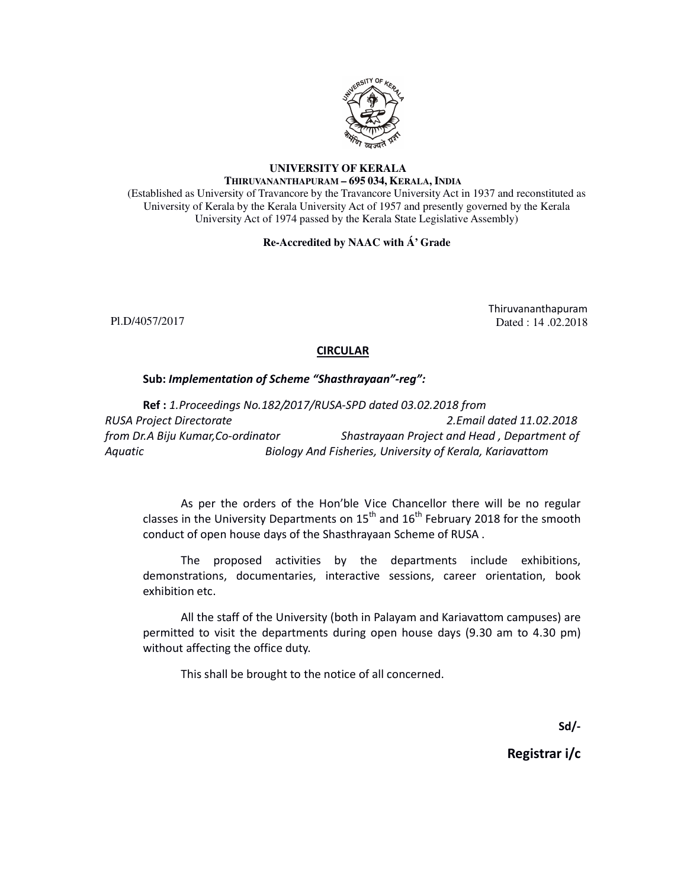

## **UNIVERSITY OF KERALA THIRUVANANTHAPURAM – 695 034, KERALA, INDIA**

(Established as University of Travancore by the Travancore University Act in 1937 and reconstituted as University of Kerala by the Kerala University Act of 1957 and presently governed by the Kerala University Act of 1974 passed by the Kerala State Legislative Assembly)

## **Re-Accredited by NAAC with Á' Grade**

Pl.D/4057/2017

Thiruvananthapuram Dated : 14 .02.2018

## **CIRCULAR**

## Sub: Implementation of Scheme "Shasthrayaan"-reg":

Ref : 1.Proceedings No.182/2017/RUSA-SPD dated 03.02.2018 from RUSA Project Directorate 2.Email dated 11.02.2018 from Dr.A Biju Kumar,Co-ordinator Shastrayaan Project and Head , Department of Aquatic Biology And Fisheries, University of Kerala, Kariavattom

As per the orders of the Hon'ble Vice Chancellor there will be no regular classes in the University Departments on  $15<sup>th</sup>$  and  $16<sup>th</sup>$  February 2018 for the smooth conduct of open house days of the Shasthrayaan Scheme of RUSA .

The proposed activities by the departments include exhibitions, demonstrations, documentaries, interactive sessions, career orientation, book exhibition etc.

All the staff of the University (both in Palayam and Kariavattom campuses) are permitted to visit the departments during open house days (9.30 am to 4.30 pm) without affecting the office duty.

This shall be brought to the notice of all concerned.

Sd/-

Registrar i/c